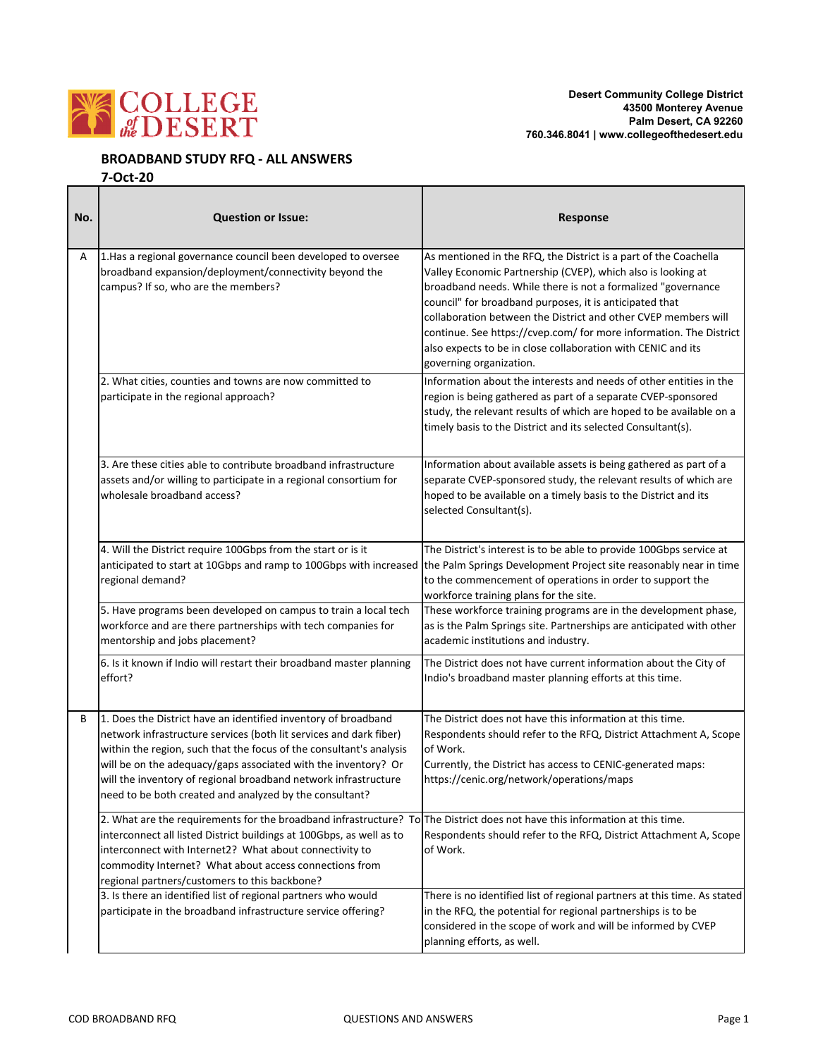

### **BROADBAND STUDY RFQ ‐ ALL ANSWERS**

#### **7‐Oct‐20**

| No. | <b>Question or Issue:</b>                                                                                                                                                                                                                                                                                                                                                                                   | Response                                                                                                                                                                                                                                                                                                                                                                                                                                                                                       |
|-----|-------------------------------------------------------------------------------------------------------------------------------------------------------------------------------------------------------------------------------------------------------------------------------------------------------------------------------------------------------------------------------------------------------------|------------------------------------------------------------------------------------------------------------------------------------------------------------------------------------------------------------------------------------------------------------------------------------------------------------------------------------------------------------------------------------------------------------------------------------------------------------------------------------------------|
| Α   | 1. Has a regional governance council been developed to oversee<br>broadband expansion/deployment/connectivity beyond the<br>campus? If so, who are the members?                                                                                                                                                                                                                                             | As mentioned in the RFQ, the District is a part of the Coachella<br>Valley Economic Partnership (CVEP), which also is looking at<br>broadband needs. While there is not a formalized "governance<br>council" for broadband purposes, it is anticipated that<br>collaboration between the District and other CVEP members will<br>continue. See https://cvep.com/ for more information. The District<br>also expects to be in close collaboration with CENIC and its<br>governing organization. |
|     | 2. What cities, counties and towns are now committed to<br>participate in the regional approach?                                                                                                                                                                                                                                                                                                            | Information about the interests and needs of other entities in the<br>region is being gathered as part of a separate CVEP-sponsored<br>study, the relevant results of which are hoped to be available on a<br>timely basis to the District and its selected Consultant(s).                                                                                                                                                                                                                     |
|     | 3. Are these cities able to contribute broadband infrastructure<br>assets and/or willing to participate in a regional consortium for<br>wholesale broadband access?                                                                                                                                                                                                                                         | Information about available assets is being gathered as part of a<br>separate CVEP-sponsored study, the relevant results of which are<br>hoped to be available on a timely basis to the District and its<br>selected Consultant(s).                                                                                                                                                                                                                                                            |
|     | 4. Will the District require 100Gbps from the start or is it<br>anticipated to start at 10Gbps and ramp to 100Gbps with increased the Palm Springs Development Project site reasonably near in time<br>regional demand?                                                                                                                                                                                     | The District's interest is to be able to provide 100Gbps service at<br>to the commencement of operations in order to support the<br>workforce training plans for the site.                                                                                                                                                                                                                                                                                                                     |
|     | 5. Have programs been developed on campus to train a local tech<br>workforce and are there partnerships with tech companies for<br>mentorship and jobs placement?                                                                                                                                                                                                                                           | These workforce training programs are in the development phase,<br>as is the Palm Springs site. Partnerships are anticipated with other<br>academic institutions and industry.                                                                                                                                                                                                                                                                                                                 |
|     | 6. Is it known if Indio will restart their broadband master planning<br>effort?                                                                                                                                                                                                                                                                                                                             | The District does not have current information about the City of<br>Indio's broadband master planning efforts at this time.                                                                                                                                                                                                                                                                                                                                                                    |
| В   | 1. Does the District have an identified inventory of broadband<br>network infrastructure services (both lit services and dark fiber)<br>within the region, such that the focus of the consultant's analysis<br>will be on the adequacy/gaps associated with the inventory? Or<br>will the inventory of regional broadband network infrastructure<br>need to be both created and analyzed by the consultant? | The District does not have this information at this time.<br>Respondents should refer to the RFQ, District Attachment A, Scope<br>of Work.<br>Currently, the District has access to CENIC-generated maps:<br>https://cenic.org/network/operations/maps                                                                                                                                                                                                                                         |
|     | 2. What are the requirements for the broadband infrastructure? To The District does not have this information at this time.<br>interconnect all listed District buildings at 100Gbps, as well as to<br>interconnect with Internet2? What about connectivity to<br>commodity Internet? What about access connections from<br>regional partners/customers to this backbone?                                   | Respondents should refer to the RFQ, District Attachment A, Scope<br>of Work.                                                                                                                                                                                                                                                                                                                                                                                                                  |
|     | 3. Is there an identified list of regional partners who would<br>participate in the broadband infrastructure service offering?                                                                                                                                                                                                                                                                              | There is no identified list of regional partners at this time. As stated<br>in the RFQ, the potential for regional partnerships is to be<br>considered in the scope of work and will be informed by CVEP<br>planning efforts, as well.                                                                                                                                                                                                                                                         |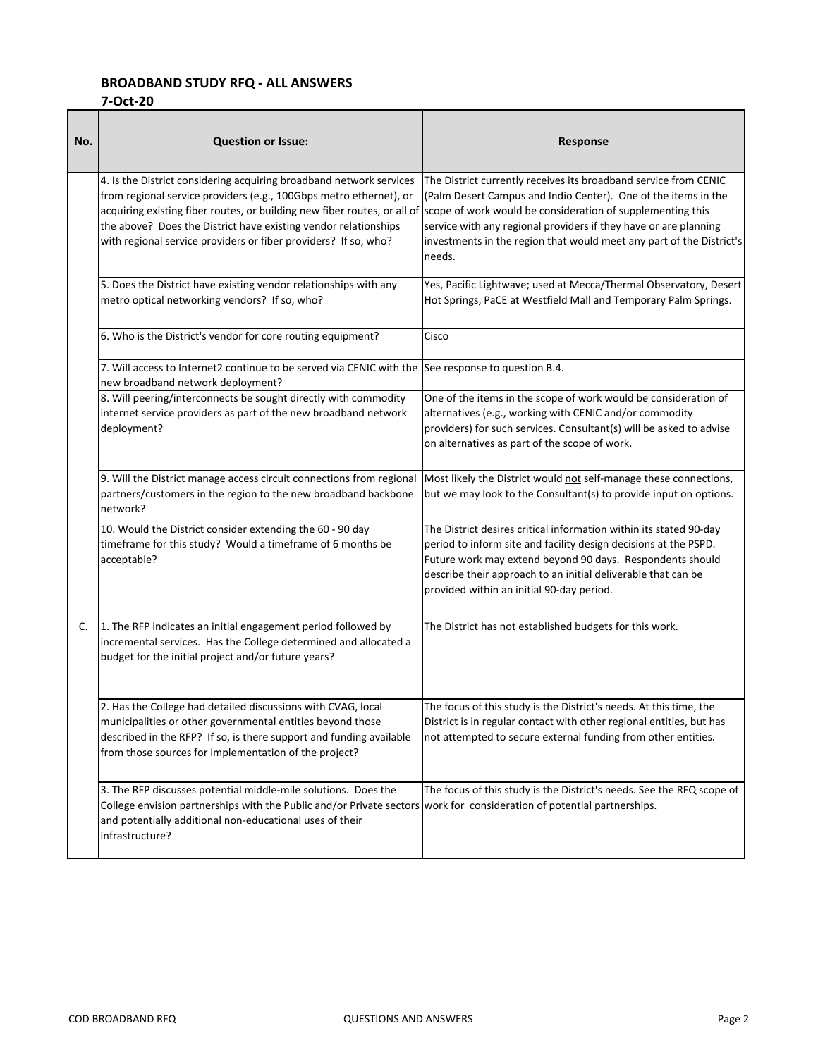## **BROADBAND STUDY RFQ ‐ ALL ANSWERS**

#### **7‐Oct‐20**

| No. | <b>Question or Issue:</b>                                                                                                                                                                                                                                                                                                                                                                                              | Response                                                                                                                                                                                                                                                                                                          |
|-----|------------------------------------------------------------------------------------------------------------------------------------------------------------------------------------------------------------------------------------------------------------------------------------------------------------------------------------------------------------------------------------------------------------------------|-------------------------------------------------------------------------------------------------------------------------------------------------------------------------------------------------------------------------------------------------------------------------------------------------------------------|
|     | 4. Is the District considering acquiring broadband network services<br>from regional service providers (e.g., 100Gbps metro ethernet), or<br>acquiring existing fiber routes, or building new fiber routes, or all of scope of work would be consideration of supplementing this<br>the above? Does the District have existing vendor relationships<br>with regional service providers or fiber providers? If so, who? | The District currently receives its broadband service from CENIC<br>(Palm Desert Campus and Indio Center). One of the items in the<br>service with any regional providers if they have or are planning<br>investments in the region that would meet any part of the District's<br>needs.                          |
|     | 5. Does the District have existing vendor relationships with any<br>metro optical networking vendors? If so, who?                                                                                                                                                                                                                                                                                                      | Yes, Pacific Lightwave; used at Mecca/Thermal Observatory, Desert<br>Hot Springs, PaCE at Westfield Mall and Temporary Palm Springs.                                                                                                                                                                              |
|     | 6. Who is the District's vendor for core routing equipment?                                                                                                                                                                                                                                                                                                                                                            | Cisco                                                                                                                                                                                                                                                                                                             |
|     | 7. Will access to Internet2 continue to be served via CENIC with the<br>new broadband network deployment?                                                                                                                                                                                                                                                                                                              | See response to question B.4.                                                                                                                                                                                                                                                                                     |
|     | 8. Will peering/interconnects be sought directly with commodity<br>internet service providers as part of the new broadband network<br>deployment?                                                                                                                                                                                                                                                                      | One of the items in the scope of work would be consideration of<br>alternatives (e.g., working with CENIC and/or commodity<br>providers) for such services. Consultant(s) will be asked to advise<br>on alternatives as part of the scope of work.                                                                |
|     | 9. Will the District manage access circuit connections from regional<br>partners/customers in the region to the new broadband backbone<br>network?                                                                                                                                                                                                                                                                     | Most likely the District would not self-manage these connections,<br>but we may look to the Consultant(s) to provide input on options.                                                                                                                                                                            |
|     | 10. Would the District consider extending the 60 - 90 day<br>timeframe for this study? Would a timeframe of 6 months be<br>acceptable?                                                                                                                                                                                                                                                                                 | The District desires critical information within its stated 90-day<br>period to inform site and facility design decisions at the PSPD.<br>Future work may extend beyond 90 days. Respondents should<br>describe their approach to an initial deliverable that can be<br>provided within an initial 90-day period. |
| C.  | 1. The RFP indicates an initial engagement period followed by<br>incremental services. Has the College determined and allocated a<br>budget for the initial project and/or future years?                                                                                                                                                                                                                               | The District has not established budgets for this work.                                                                                                                                                                                                                                                           |
|     | Has the College had detailed discussions with CVAG, local<br>municipalities or other governmental entities beyond those<br>described in the RFP? If so, is there support and funding available<br>from those sources for implementation of the project?                                                                                                                                                                | The focus of this study is the District's needs. At this time, the<br>District is in regular contact with other regional entities, but has<br>not attempted to secure external funding from other entities.                                                                                                       |
|     | 3. The RFP discusses potential middle-mile solutions. Does the<br>College envision partnerships with the Public and/or Private sectors work for consideration of potential partnerships.<br>and potentially additional non-educational uses of their<br>infrastructure?                                                                                                                                                | The focus of this study is the District's needs. See the RFQ scope of                                                                                                                                                                                                                                             |